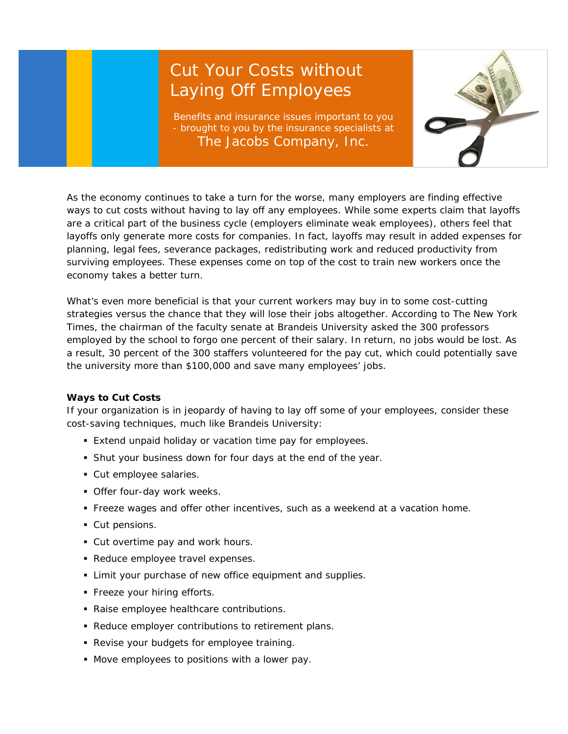## Cut Your Costs without Laying Off Employees

Benefits and insurance issues important to you - brought to you by the insurance specialists at The Jacobs Company, Inc.



As the economy continues to take a turn for the worse, many employers are finding effective ways to cut costs without having to lay off any employees. While some experts claim that layoffs are a critical part of the business cycle (employers eliminate weak employees), others feel that layoffs only generate more costs for companies. In fact, layoffs may result in added expenses for planning, legal fees, severance packages, redistributing work and reduced productivity from surviving employees. These expenses come on top of the cost to train new workers once the economy takes a better turn.

What's even more beneficial is that your current workers may buy in to some cost-cutting strategies versus the chance that they will lose their jobs altogether. According to *The New York Times*, the chairman of the faculty senate at Brandeis University asked the 300 professors employed by the school to forgo one percent of their salary. In return, no jobs would be lost. As a result, 30 percent of the 300 staffers volunteered for the pay cut, which could potentially save the university more than \$100,000 and save many employees' jobs.

## **Ways to Cut Costs**

If your organization is in jeopardy of having to lay off some of your employees, consider these cost-saving techniques, much like Brandeis University:

- **Extend unpaid holiday or vacation time pay for employees.**
- Shut your business down for four days at the end of the year.
- Cut employee salaries.
- **Offer four-day work weeks.**
- Freeze wages and offer other incentives, such as a weekend at a vacation home.
- Cut pensions.
- **Cut overtime pay and work hours.**
- Reduce employee travel expenses.
- **Example 2** Limit your purchase of new office equipment and supplies.
- **Freeze your hiring efforts.**
- Raise employee healthcare contributions.
- Reduce employer contributions to retirement plans.
- **Revise your budgets for employee training.**
- Move employees to positions with a lower pay.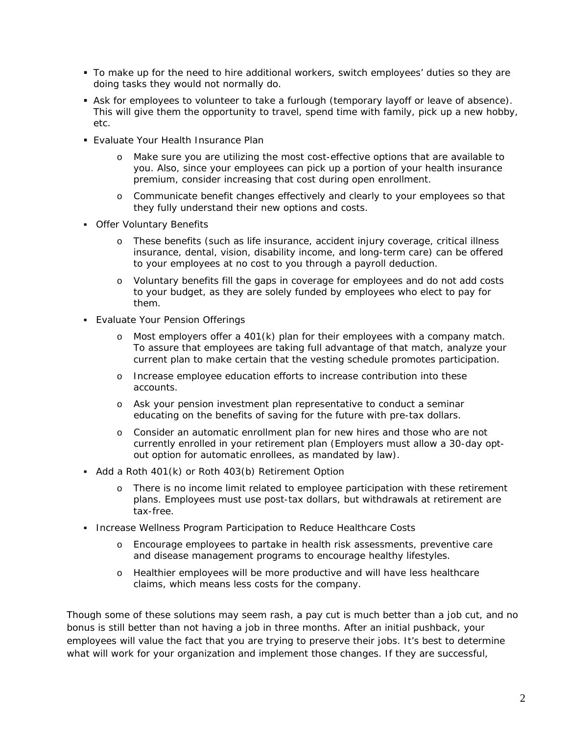- To make up for the need to hire additional workers, switch employees' duties so they are doing tasks they would not normally do.
- **Ask for employees to volunteer to take a furlough (temporary layoff or leave of absence).** This will give them the opportunity to travel, spend time with family, pick up a new hobby, etc.
- **Evaluate Your Health Insurance Plan** 
	- o Make sure you are utilizing the most cost-effective options that are available to you. Also, since your employees can pick up a portion of your health insurance premium, consider increasing that cost during open enrollment.
	- o Communicate benefit changes effectively and clearly to your employees so that they fully understand their new options and costs.
- **Offer Voluntary Benefits** 
	- o These benefits (such as life insurance, accident injury coverage, critical illness insurance, dental, vision, disability income, and long-term care) can be offered to your employees at no cost to you through a payroll deduction.
	- o Voluntary benefits fill the gaps in coverage for employees and do not add costs to your budget, as they are solely funded by employees who elect to pay for them.
- Evaluate Your Pension Offerings
	- o Most employers offer a 401(k) plan for their employees with a company match. To assure that employees are taking full advantage of that match, analyze your current plan to make certain that the vesting schedule promotes participation.
	- o Increase employee education efforts to increase contribution into these accounts.
	- o Ask your pension investment plan representative to conduct a seminar educating on the benefits of saving for the future with pre-tax dollars.
	- o Consider an automatic enrollment plan for new hires and those who are not currently enrolled in your retirement plan (Employers must allow a 30-day optout option for automatic enrollees, as mandated by law).
- Add a Roth 401(k) or Roth 403(b) Retirement Option
	- o There is no income limit related to employee participation with these retirement plans. Employees must use post-tax dollars, but withdrawals at retirement are tax-free.
- **Increase Wellness Program Participation to Reduce Healthcare Costs** 
	- o Encourage employees to partake in health risk assessments, preventive care and disease management programs to encourage healthy lifestyles.
	- o Healthier employees will be more productive and will have less healthcare claims, which means less costs for the company.

Though some of these solutions may seem rash, a pay cut is much better than a job cut, and no bonus is still better than not having a job in three months. After an initial pushback, your employees will value the fact that you are trying to preserve their jobs. It's best to determine what will work for your organization and implement those changes. If they are successful,